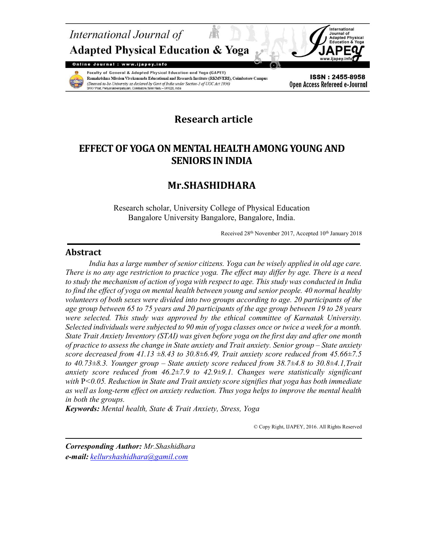



Faculty of General & Adapted Physical Education and Yoga (GAPEY) Ramakrishna Mission Vivekananda Educational and Research Institute (RKMVERI), Coimbatore Campus (Deemed-to-be-University as declared by Govt of India under Section-3 of UGC Act 1956) enpalayam, Coimbatore, Tamil Nadu - 641020, India

ISSN: 2455-8958 Open Access Refereed e-Journal

# Research article

# EFFECT OF YOGA ON MENTAL HEALTH AMONG YOUNG AND SENIORS IN INDIA

# Mr.SHASHIDHARA

Research scholar, University College of Physical Education Bangalore University Bangalore, Bangalore, India.

Received 28<sup>th</sup> November 2017, Accepted 10<sup>th</sup> January 2018

# Abstract

India has a large number of senior citizens. Yoga can be wisely applied in old age care. There is no any age restriction to practice yoga. The effect may differ by age. There is a need to study the mechanism of action of yoga with respect to age. This study was conducted in India to find the effect of yoga on mental health between young and senior people. 40 normal healthy volunteers of both sexes were divided into two groups according to age. 20 participants of the age group between 65 to 75 years and 20 participants of the age group between 19 to 28 years were selected. This study was approved by the ethical committee of Karnatak University. Selected individuals were subjected to 90 min of yoga classes once or twice a week for a month. State Trait Anxiety Inventory (STAI) was given before yoga on the first day and after one month of practice to assess the change in State anxiety and Trait anxiety. Senior group – State anxiety score decreased from 41.13  $\pm 8.43$  to 30.8 $\pm 6.49$ , Trait anxiety score reduced from 45.66 $\pm 7.5$ to 40.73 $\pm$ 8.3. Younger group – State anxiety score reduced from 38.7 $\pm$ 4.8 to 30.8 $\pm$ 4.1, Trait anxiety score reduced from  $46.2 \pm 7.9$  to  $42.9 \pm 9.1$ . Changes were statistically significant with  $P < 0.05$ . Reduction in State and Trait anxiety score signifies that yoga has both immediate as well as long-term effect on anxiety reduction. Thus yoga helps to improve the mental health in both the groups.

Keywords: Mental health, State & Trait Anxiety, Stress, Yoga

© Copy Right, IJAPEY, 2016. All Rights Reserved

Corresponding Author: Mr.Shashidhara e-mail: kellurshashidhara@gamil.com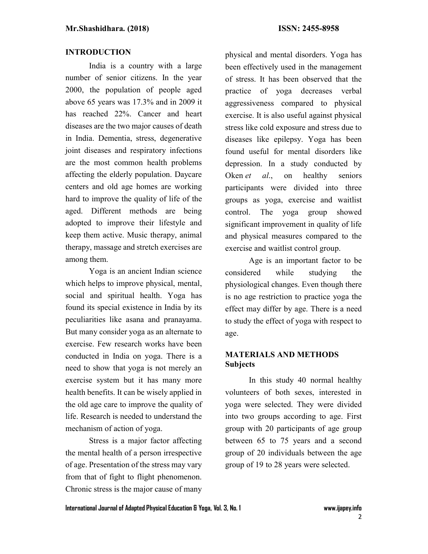### INTRODUCTION

India is a country with a large number of senior citizens. In the year 2000, the population of people aged above 65 years was 17.3% and in 2009 it has reached 22%. Cancer and heart diseases are the two major causes of death in India. Dementia, stress, degenerative joint diseases and respiratory infections are the most common health problems affecting the elderly population. Daycare centers and old age homes are working hard to improve the quality of life of the aged. Different methods are being adopted to improve their lifestyle and keep them active. Music therapy, animal therapy, massage and stretch exercises are among them.

Yoga is an ancient Indian science which helps to improve physical, mental, social and spiritual health. Yoga has found its special existence in India by its peculiarities like asana and pranayama. But many consider yoga as an alternate to exercise. Few research works have been conducted in India on yoga. There is a need to show that yoga is not merely an exercise system but it has many more health benefits. It can be wisely applied in the old age care to improve the quality of life. Research is needed to understand the mechanism of action of yoga.

Stress is a major factor affecting the mental health of a person irrespective of age. Presentation of the stress may vary from that of fight to flight phenomenon. Chronic stress is the major cause of many physical and mental disorders. Yoga has been effectively used in the management of stress. It has been observed that the practice of yoga decreases verbal aggressiveness compared to physical exercise. It is also useful against physical stress like cold exposure and stress due to diseases like epilepsy. Yoga has been found useful for mental disorders like depression. In a study conducted by Oken et al., on healthy seniors participants were divided into three groups as yoga, exercise and waitlist control. The yoga group showed significant improvement in quality of life and physical measures compared to the exercise and waitlist control group.

Age is an important factor to be considered while studying the physiological changes. Even though there is no age restriction to practice yoga the effect may differ by age. There is a need to study the effect of yoga with respect to age.

## MATERIALS AND METHODS **Subjects**

In this study 40 normal healthy volunteers of both sexes, interested in yoga were selected. They were divided into two groups according to age. First group with 20 participants of age group between 65 to 75 years and a second group of 20 individuals between the age group of 19 to 28 years were selected.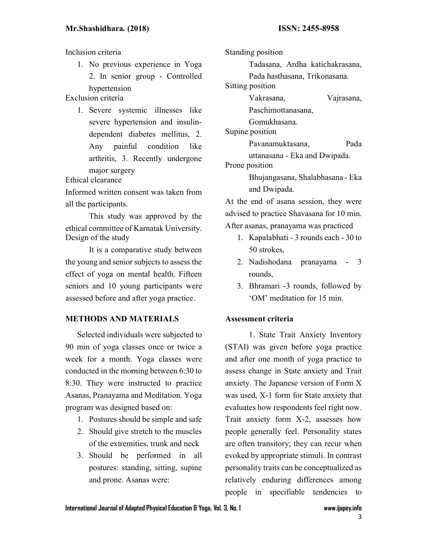Inclusion criteria

1. No previous experience in Yoga 2. In senior group - Controlled hypertension

Exclusion criteria

1. Severe systemic illnesses like severe hypertension and insulindependent diabetes mellitus, 2. Any painful condition like arthritis, 3. Recently undergone major surgery

Ethical clearance

Informed written consent was taken from all the participants.

This study was approved by the ethical committee of Karnatak University. Design of the study

It is a comparative study between the young and senior subjects to assess the effect of yoga on mental health. Fifteen seniors and 10 young participants were assessed before and after yoga practice.

### METHODS AND MATERIALS

Selected individuals were subjected to 90 min of yoga classes once or twice a week for a month. Yoga classes were conducted in the morning between 6:30 to 8:30. They were instructed to practice Asanas, Pranayama and Meditation. Yoga program was designed based on:

- 1. Postures should be simple and safe
- 2. Should give stretch to the muscles of the extremities, trunk and neck
- 3. Should be performed in all postures: standing, sitting, supine and prone. Asanas were:

Standing position

Tadasana, Ardha katichakrasana,

Pada hasthasana, Trikonasana.

Sitting position

Vakrasana, Vajrasana,

Paschimottanasana,

Gomukhasana.

Supine position

Pavanamuktasana, Pada

uttanasana - Eka and Dwipada.

Prone position

Bhujangasana, Shalabhasana - Eka and Dwipada.

At the end of asana session, they were advised to practice Shavasana for 10 min. After asanas, pranayama was practiced

- 1. Kapalabhati 3 rounds each 30 to 50 strokes,
- 2. Nadishodana pranayama 3 rounds,
- 3. Bhramari -3 rounds, followed by 'OM' meditation for 15 min.

#### Assessment criteria

1. State Trait Anxiety Inventory (STAI) was given before yoga practice and after one month of yoga practice to assess change in State anxiety and Trait anxiety. The Japanese version of Form X was used, X-1 form for State anxiety that evaluates how respondents feel right now. Trait anxiety form X-2, assesses how people generally feel. Personality states are often transitory; they can recur when evoked by appropriate stimuli. In contrast personality traits can be conceptualized as relatively enduring differences among people in specifiable tendencies to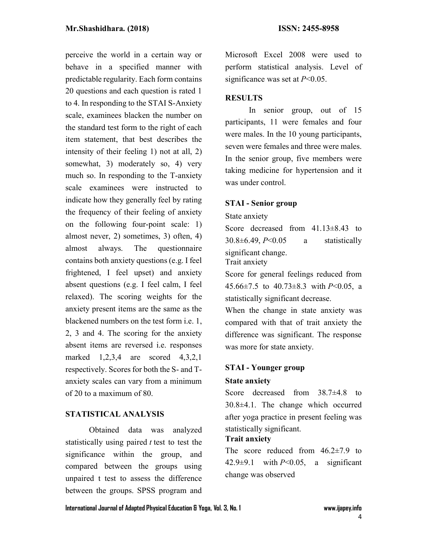perceive the world in a certain way or behave in a specified manner with predictable regularity. Each form contains 20 questions and each question is rated 1 to 4. In responding to the STAI S-Anxiety scale, examinees blacken the number on the standard test form to the right of each item statement, that best describes the intensity of their feeling 1) not at all, 2) somewhat, 3) moderately so, 4) very much so. In responding to the T-anxiety scale examinees were instructed to indicate how they generally feel by rating the frequency of their feeling of anxiety on the following four-point scale: 1) almost never, 2) sometimes, 3) often, 4) almost always. The questionnaire contains both anxiety questions (e.g. I feel frightened, I feel upset) and anxiety absent questions (e.g. I feel calm, I feel relaxed). The scoring weights for the anxiety present items are the same as the blackened numbers on the test form i.e. 1, 2, 3 and 4. The scoring for the anxiety absent items are reversed i.e. responses marked 1,2,3,4 are scored 4,3,2,1 respectively. Scores for both the S- and Tanxiety scales can vary from a minimum of 20 to a maximum of 80.

# STATISTICAL ANALYSIS

Obtained data was analyzed statistically using paired  $t$  test to test the significance within the group, and compared between the groups using unpaired t test to assess the difference between the groups. SPSS program and Microsoft Excel 2008 were used to perform statistical analysis. Level of significance was set at  $P<0.05$ .

#### **RESULTS**

In senior group, out of 15 participants, 11 were females and four were males. In the 10 young participants, seven were females and three were males. In the senior group, five members were taking medicine for hypertension and it was under control.

#### STAI - Senior group

State anxiety

Score decreased from 41.13 $\pm$ 8.43 to  $30.8\pm 6.49$ ,  $P< 0.05$  a statistically significant change. Trait anxiety

Score for general feelings reduced from 45.66 $\pm$ 7.5 to 40.73 $\pm$ 8.3 with P<0.05, a statistically significant decrease.

When the change in state anxiety was compared with that of trait anxiety the difference was significant. The response was more for state anxiety.

### STAI - Younger group

#### State anxiety

Score decreased from 38.7±4.8 to 30.8±4.1. The change which occurred after yoga practice in present feeling was statistically significant.

### Trait anxiety

The score reduced from  $46.2 \pm 7.9$  to  $42.9\pm9.1$  with  $P<0.05$ , a significant change was observed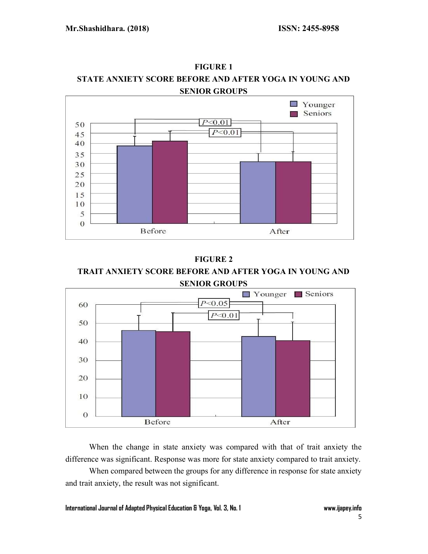

FIGURE 1 STATE ANXIETY SCORE BEFORE AND AFTER YOGA IN YOUNG AND SENIOR GROUPS

FIGURE 2 TRAIT ANXIETY SCORE BEFORE AND AFTER YOGA IN YOUNG AND SENIOR GROUPS



When the change in state anxiety was compared with that of trait anxiety the difference was significant. Response was more for state anxiety compared to trait anxiety.

When compared between the groups for any difference in response for state anxiety and trait anxiety, the result was not significant.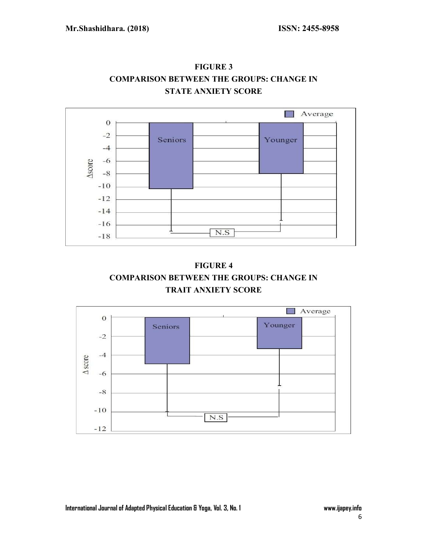

FIGURE 3 COMPARISON BETWEEN THE GROUPS: CHANGE IN STATE ANXIETY SCORE



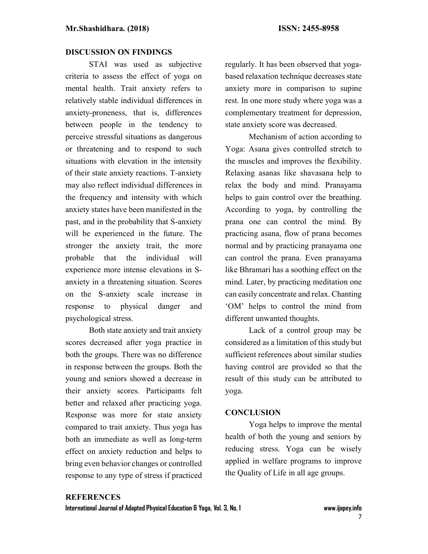#### DISCUSSION ON FINDINGS

STAI was used as subjective criteria to assess the effect of yoga on mental health. Trait anxiety refers to relatively stable individual differences in anxiety-proneness, that is, differences between people in the tendency to perceive stressful situations as dangerous or threatening and to respond to such situations with elevation in the intensity of their state anxiety reactions. T-anxiety may also reflect individual differences in the frequency and intensity with which anxiety states have been manifested in the past, and in the probability that S-anxiety will be experienced in the future. The stronger the anxiety trait, the more probable that the individual will experience more intense elevations in Sanxiety in a threatening situation. Scores on the S-anxiety scale increase in response to physical danger and psychological stress.

Both state anxiety and trait anxiety scores decreased after yoga practice in both the groups. There was no difference in response between the groups. Both the young and seniors showed a decrease in their anxiety scores. Participants felt better and relaxed after practicing yoga. Response was more for state anxiety compared to trait anxiety. Thus yoga has both an immediate as well as long-term effect on anxiety reduction and helps to bring even behavior changes or controlled response to any type of stress if practiced regularly. It has been observed that yogabased relaxation technique decreases state anxiety more in comparison to supine rest. In one more study where yoga was a complementary treatment for depression, state anxiety score was decreased.

Mechanism of action according to Yoga: Asana gives controlled stretch to the muscles and improves the flexibility. Relaxing asanas like shavasana help to relax the body and mind. Pranayama helps to gain control over the breathing. According to yoga, by controlling the prana one can control the mind. By practicing asana, flow of prana becomes normal and by practicing pranayama one can control the prana. Even pranayama like Bhramari has a soothing effect on the mind. Later, by practicing meditation one can easily concentrate and relax. Chanting 'OM' helps to control the mind from different unwanted thoughts.

Lack of a control group may be considered as a limitation of this study but sufficient references about similar studies having control are provided so that the result of this study can be attributed to yoga.

#### **CONCLUSION**

Yoga helps to improve the mental health of both the young and seniors by reducing stress. Yoga can be wisely applied in welfare programs to improve the Quality of Life in all age groups.

# **REFERENCES**